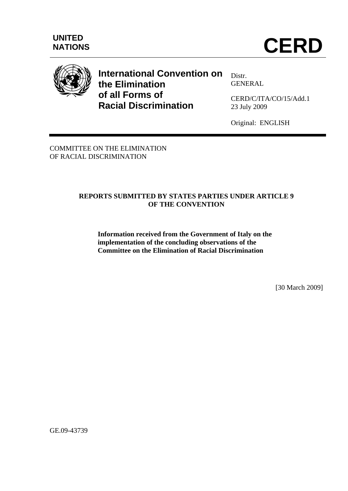



# **International Convention on the Elimination of all Forms of Racial Discrimination**

Distr. GENERAL

CERD/C/ITA/CO/15/Add.1 23 July 2009

Original: ENGLISH

COMMITTEE ON THE ELIMINATION OF RACIAL DISCRIMINATION

### **REPORTS SUBMITTED BY STATES PARTIES UNDER ARTICLE 9 OF THE CONVENTION**

**Information received from the Government of Italy on the implementation of the concluding observations of the Committee on the Elimination of Racial Discrimination**

[30 March 2009]

GE.09-43739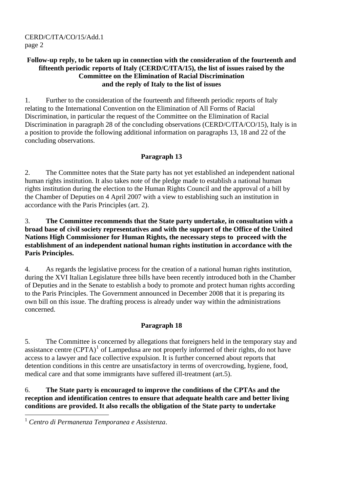### **Follow-up reply, to be taken up in connection with the consideration of the fourteenth and fifteenth periodic reports of Italy (CERD/C/ITA/15), the list of issues raised by the Committee on the Elimination of Racial Discrimination and the reply of Italy to the list of issues**

1. Further to the consideration of the fourteenth and fifteenth periodic reports of Italy relating to the International Convention on the Elimination of All Forms of Racial Discrimination, in particular the request of the Committee on the Elimination of Racial Discrimination in paragraph 28 of the concluding observations (CERD/C/ITA/CO/15), Italy is in a position to provide the following additional information on paragraphs 13, 18 and 22 of the concluding observations.

# **Paragraph 13**

2. The Committee notes that the State party has not yet established an independent national human rights institution. It also takes note of the pledge made to establish a national human rights institution during the election to the Human Rights Council and the approval of a bill by the Chamber of Deputies on 4 April 2007 with a view to establishing such an institution in accordance with the Paris Principles (art. 2).

#### 3. **The Committee recommends that the State party undertake, in consultation with a broad base of civil society representatives and with the support of the Office of the United Nations High Commissioner for Human Rights, the necessary steps to proceed with the establishment of an independent national human rights institution in accordance with the Paris Principles.**

4. As regards the legislative process for the creation of a national human rights institution, during the XVI Italian Legislature three bills have been recently introduced both in the Chamber of Deputies and in the Senate to establish a body to promote and protect human rights according to the Paris Principles. The Government announced in December 2008 that it is preparing its own bill on this issue. The drafting process is already under way within the administrations concerned.

## **Paragraph 18**

5. The Committee is concerned by allegations that foreigners held in the temporary stay and assistance centre  $(CPTA)^{1}$  $(CPTA)^{1}$  $(CPTA)^{1}$  of Lampedusa are not properly informed of their rights, do not have access to a lawyer and face collective expulsion. It is further concerned about reports that detention conditions in this centre are unsatisfactory in terms of overcrowding, hygiene, food, medical care and that some immigrants have suffered ill-treatment (art.5).

6. **The State party is encouraged to improve the conditions of the CPTAs and the reception and identification centres to ensure that adequate health care and better living conditions are provided. It also recalls the obligation of the State party to undertake** 

 $\overline{a}$ 

<span id="page-1-0"></span><sup>1</sup> *Centro di Permanenza Temporanea e Assistenza*.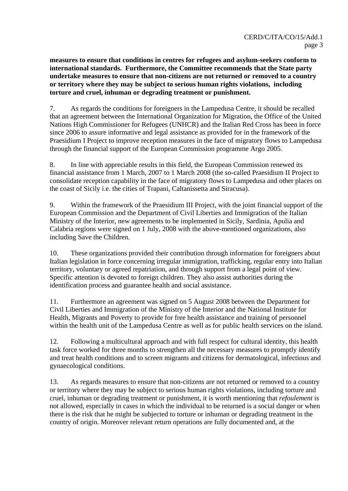**measures to ensure that conditions in centres for refugees and asylum-seekers conform to international standards. Furthermore, the Committee recommends that the State party undertake measures to ensure that non-citizens are not returned or removed to a country or territory where they may be subject to serious human rights violations, including torture and cruel, inhuman or degrading treatment or punishment.** 

7. As regards the conditions for foreigners in the Lampedusa Centre, it should be recalled that an agreement between the International Organization for Migration, the Office of the United Nations High Commissioner for Refugees (UNHCR) and the Italian Red Cross has been in force since 2006 to assure informative and legal assistance as provided for in the framework of the Praesidium I Project to improve reception measures in the face of migratory flows to Lampedusa through the financial support of the European Commission programme Argo 2005.

8. In line with appreciable results in this field, the European Commission renewed its financial assistance from 1 March, 2007 to 1 March 2008 (the so-called Praesidium II Project to consolidate reception capability in the face of migratory flows to Lampedusa and other places on the coast of Sicily i.e. the cities of Trapani, Caltanissetta and Siracusa).

9. Within the framework of the Praesidium III Project, with the joint financial support of the European Commission and the Department of Civil Liberties and Immigration of the Italian Ministry of the Interior, new agreements to be implemented in Sicily, Sardinia, Apulia and Calabria regions were signed on 1 July, 2008 with the above-mentioned organizations, also including Save the Children.

10. These organizations provided their contribution through information for foreigners about Italian legislation in force concerning irregular immigration, trafficking, regular entry into Italian territory, voluntary or agreed repatriation, and through support from a legal point of view. Specific attention is devoted to foreign children. They also assist authorities during the identification process and guarantee health and social assistance.

11. Furthermore an agreement was signed on 5 August 2008 between the Department for Civil Liberties and Immigration of the Ministry of the Interior and the National Institute for Health, Migrants and Poverty to provide for free health assistance and training of personnel within the health unit of the Lampedusa Centre as well as for public health services on the island.

12. Following a multicultural approach and with full respect for cultural identity, this health task force worked for three months to strengthen all the necessary measures to promptly identify and treat health conditions and to screen migrants and citizens for dermatological, infectious and gynaecological conditions.

13. As regards measures to ensure that non-citizens are not returned or removed to a country or territory where they may be subject to serious human rights violations, including torture and cruel, inhuman or degrading treatment or punishment, it is worth mentioning that *refoulement* is not allowed, especially in cases in which the individual to be returned is a social danger or when there is the risk that he might be subjected to torture or inhuman or degrading treatment in the country of origin. Moreover relevant return operations are fully documented and, at the